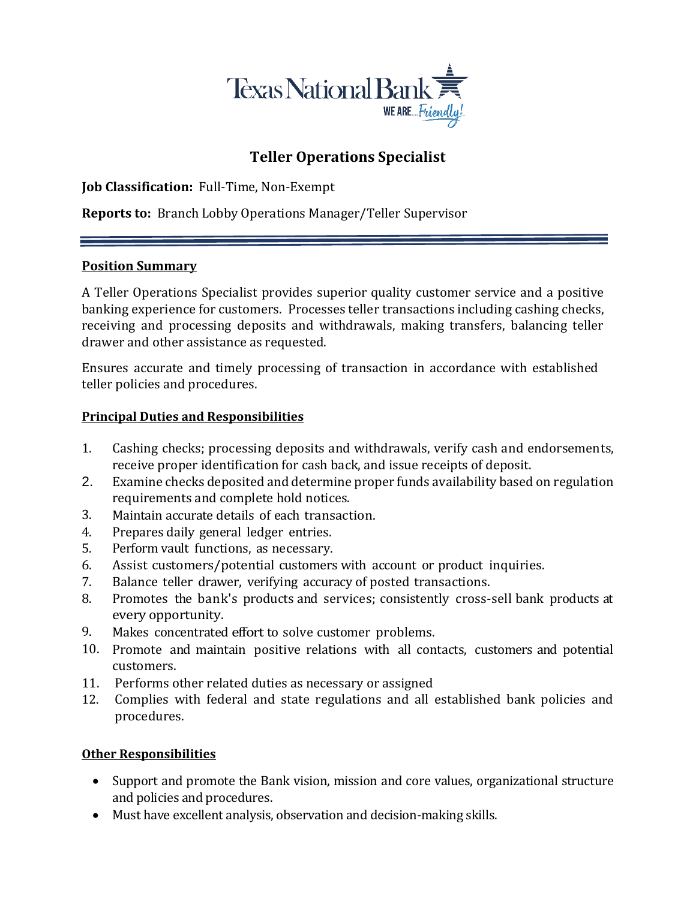

# **Teller Operations Specialist**

**Job Classification:** Full-Time, Non-Exempt

**Reports to:** Branch Lobby Operations Manager/Teller Supervisor

#### **Position Summary**

A Teller Operations Specialist provides superior quality customer service and a positive banking experience for customers. Processes teller transactions including cashing checks, receiving and processing deposits and withdrawals, making transfers, balancing teller drawer and other assistance as requested.

Ensures accurate and timely processing of transaction in accordance with established teller policies and procedures.

#### **Principal Duties and Responsibilities**

- 1. Cashing checks; processing deposits and withdrawals, verify cash and endorsements, receive proper identification for cash back, and issue receipts of deposit.
- 2. Examine checks deposited and determine proper funds availability based on regulation requirements and complete hold notices.
- 3. Maintain accurate details of each transaction.
- 4. Prepares daily general ledger entries.
- 5. Perform vault functions, as necessary.
- 6. Assist customers/potential customers with account or product inquiries.
- 7. Balance teller drawer, verifying accuracy of posted transactions.
- 8. Promotes the bank's products and services; consistently cross-sell bank products at every opportunity.
- 9. Makes concentrated effort to solve customer problems.
- 10. Promote and maintain positive relations with all contacts, customers and potential customers.
- 11. Performs other related duties as necessary or assigned
- 12. Complies with federal and state regulations and all established bank policies and procedures.

### **Other Responsibilities**

- Support and promote the Bank vision, mission and core values, organizational structure and policies and procedures.
- Must have excellent analysis, observation and decision-making skills.